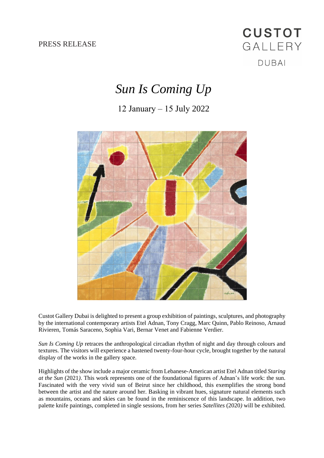PRESS RELEASE

## **CUSTOT** GALLERY **DUBAI**

## *Sun Is Coming Up*

## 12 January – 15 July 2022



Custot Gallery Dubai is delighted to present a group exhibition of paintings, sculptures, and photography by the international contemporary artists Etel Adnan, Tony Cragg, Marc Quinn, Pablo Reinoso, Arnaud Rivieren, Tomás Saraceno, Sophia Vari, Bernar Venet and Fabienne Verdier.

*Sun Is Coming Up* retraces the anthropological circadian rhythm of night and day through colours and textures. The visitors will experience a hastened twenty-four-hour cycle, brought together by the natural display of the works in the gallery space.

Highlights of the show include a major ceramic from Lebanese-American artist Etel Adnan titled *Staring at the Sun* (2021*)*. This work represents one of the foundational figures of Adnan's life work: the sun. Fascinated with the very vivid sun of Beirut since her childhood, this exemplifies the strong bond between the artist and the nature around her. Basking in vibrant hues, signature natural elements such as mountains, oceans and skies can be found in the reminiscence of this landscape. In addition, two palette knife paintings, completed in single sessions, from her series *Satellites* (2020*)* will be exhibited.